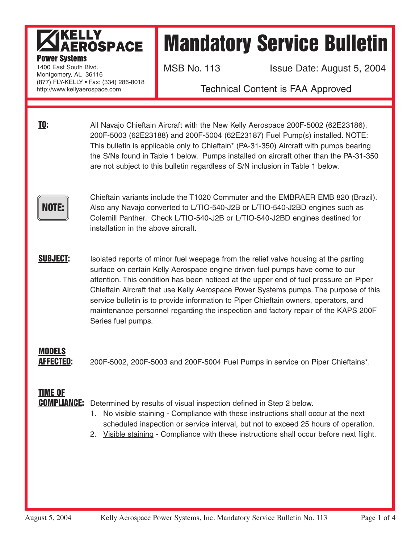### KELLY<br>AEROSPACE **Power Systems**

# Mandatory Service Bulletin

1400 East South Blvd. Montgomery, AL 36116 (877) FLY-KELLY • Fax: (334) 286-8018 http://www.kellyaerospace.com

MSB No. 113 **ISSUE Date: August 5, 2004** 

Technical Content is FAA Approved

**TO:** All Navajo Chieftain Aircraft with the New Kelly Aerospace 200F-5002 (62E23186), 200F-5003 (62E23188) and 200F-5004 (62E23187) Fuel Pump(s) installed. NOTE: This bulletin is applicable only to Chieftain\* (PA-31-350) Aircraft with pumps bearing the S/Ns found in Table 1 below. Pumps installed on aircraft other than the PA-31-350 are not subject to this bulletin regardless of S/N inclusion in Table 1 below.

NOTE:

Chieftain variants include the T1020 Commuter and the EMBRAER EMB 820 (Brazil). Also any Navajo converted to L/TIO-540-J2B or L/TIO-540-J2BD engines such as Colemill Panther. Check L/TIO-540-J2B or L/TIO-540-J2BD engines destined for installation in the above aircraft.

**SUBJECT:** Isolated reports of minor fuel weepage from the relief valve housing at the parting surface on certain Kelly Aerospace engine driven fuel pumps have come to our attention. This condition has been noticed at the upper end of fuel pressure on Piper Chieftain Aircraft that use Kelly Aerospace Power Systems pumps. The purpose of this service bulletin is to provide information to Piper Chieftain owners, operators, and maintenance personnel regarding the inspection and factory repair of the KAPS 200F Series fuel pumps.

### MODELS

**AFFECTED:** 200F-5002, 200F-5003 and 200F-5004 Fuel Pumps in service on Piper Chieftains\*.

## TIME OF

**COMPLIANCE:** Determined by results of visual inspection defined in Step 2 below.

- 1. No visible staining Compliance with these instructions shall occur at the next scheduled inspection or service interval, but not to exceed 25 hours of operation.
- 2. Visible staining Compliance with these instructions shall occur before next flight.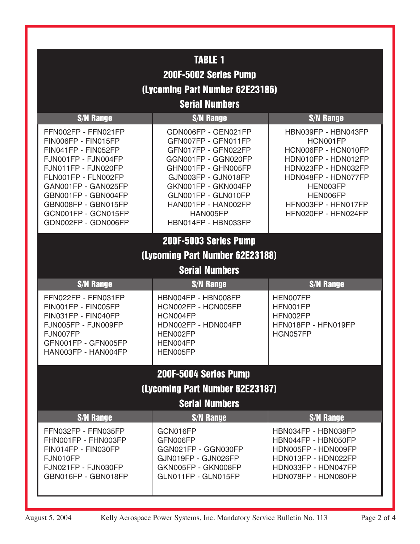| <b>TABLE 1</b>                                                                                                                                                                                                                                            |                                                                                                                                                                                                                                                |                                                                                                                                                                                                   |  |
|-----------------------------------------------------------------------------------------------------------------------------------------------------------------------------------------------------------------------------------------------------------|------------------------------------------------------------------------------------------------------------------------------------------------------------------------------------------------------------------------------------------------|---------------------------------------------------------------------------------------------------------------------------------------------------------------------------------------------------|--|
| 200F-5002 Series Pump                                                                                                                                                                                                                                     |                                                                                                                                                                                                                                                |                                                                                                                                                                                                   |  |
| (Lycoming Part Number 62E23186)                                                                                                                                                                                                                           |                                                                                                                                                                                                                                                |                                                                                                                                                                                                   |  |
| <b>Serial Numbers</b>                                                                                                                                                                                                                                     |                                                                                                                                                                                                                                                |                                                                                                                                                                                                   |  |
| <b>S/N Range</b>                                                                                                                                                                                                                                          | <b>S/N Range</b>                                                                                                                                                                                                                               | <b>S/N Range</b>                                                                                                                                                                                  |  |
| FFN002FP - FFN021FP<br>FIN006FP - FIN015FP<br>FIN041FP - FIN052FP<br>FJN001FP - FJN004FP<br>FJN011FP - FJN020FP<br>FLN001FP - FLN002FP<br>GAN001FP - GAN025FP<br>GBN001FP - GBN004FP<br>GBN008FP - GBN015FP<br>GCN001FP - GCN015FP<br>GDN002FP - GDN006FP | GDN006FP - GEN021FP<br>GFN007FP - GFN011FP<br>GFN017FP - GFN022FP<br>GGN001FP - GGN020FP<br>GHN001FP - GHN005FP<br>GJN003FP - GJN018FP<br>GKN001FP - GKN004FP<br>GLN001FP - GLN010FP<br>HAN001FP - HAN002FP<br>HAN005FP<br>HBN014FP - HBN033FP | HBN039FP - HBN043FP<br>HCN001FP<br>HCN006FP - HCN010FP<br>HDN010FP - HDN012FP<br>HDN023FP - HDN032FP<br>HDN048FP - HDN077FP<br>HEN003FP<br>HEN006FP<br>HFN003FP - HFN017FP<br>HFN020FP - HFN024FP |  |
| 200F-5003 Series Pump                                                                                                                                                                                                                                     |                                                                                                                                                                                                                                                |                                                                                                                                                                                                   |  |
|                                                                                                                                                                                                                                                           | (Lycoming Part Number 62E23188)                                                                                                                                                                                                                |                                                                                                                                                                                                   |  |
| <b>Serial Numbers</b>                                                                                                                                                                                                                                     |                                                                                                                                                                                                                                                |                                                                                                                                                                                                   |  |
| <b>S/N Range</b>                                                                                                                                                                                                                                          | <b>S/N Range</b>                                                                                                                                                                                                                               | <b>S/N Range</b>                                                                                                                                                                                  |  |
| FFN022FP - FFN031FP<br>FIN001FP - FIN005FP<br>FIN031FP - FIN040FP<br>FJN005FP - FJN009FP<br>FJN007FP<br>GFN001FP - GFN005FP<br>HAN003FP - HAN004FP                                                                                                        | HBN004FP - HBN008FP<br>HCN002FP - HCN005FP<br>HCN004FP<br>HDN002FP - HDN004FP<br>HEN002FP<br>HEN004FP<br>HEN005FP                                                                                                                              | HEN007FP<br>HFN001FP<br>HFN002FP<br>HFN018FP - HFN019FP<br>HGN057FP                                                                                                                               |  |
|                                                                                                                                                                                                                                                           | 200F-5004 Series Pump                                                                                                                                                                                                                          |                                                                                                                                                                                                   |  |
| (Lycoming Part Number 62E23187)                                                                                                                                                                                                                           |                                                                                                                                                                                                                                                |                                                                                                                                                                                                   |  |
| <b>Serial Numbers</b>                                                                                                                                                                                                                                     |                                                                                                                                                                                                                                                |                                                                                                                                                                                                   |  |
| <b>S/N Range</b>                                                                                                                                                                                                                                          | <b>S/N Range</b>                                                                                                                                                                                                                               | <b>S/N Range</b>                                                                                                                                                                                  |  |
| FFN032FP - FFN035FP<br>FHN001FP - FHN003FP<br>FIN014FP - FIN030FP<br>FJN010FP<br>FJN021FP - FJN030FP<br>GBN016FP - GBN018FP                                                                                                                               | GCN016FP<br>GFN006FP<br>GGN021FP - GGN030FP<br>GJN019FP - GJN026FP<br>GKN005FP - GKN008FP<br>GLN011FP - GLN015FP                                                                                                                               | HBN034FP - HBN038FP<br>HBN044FP - HBN050FP<br>HDN005FP - HDN009FP<br>HDN013FP - HDN022FP<br>HDN033FP - HDN047FP<br>HDN078FP - HDN080FP                                                            |  |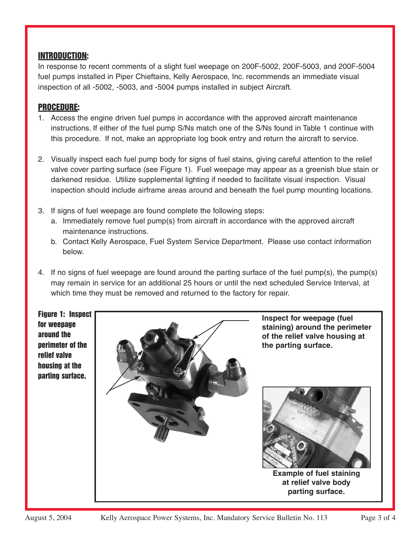#### INTRODUCTION:

In response to recent comments of a slight fuel weepage on 200F-5002, 200F-5003, and 200F-5004 fuel pumps installed in Piper Chieftains, Kelly Aerospace, Inc. recommends an immediate visual inspection of all -5002, -5003, and -5004 pumps installed in subject Aircraft.

#### PROCEDURE:

- 1. Access the engine driven fuel pumps in accordance with the approved aircraft maintenance instructions. If either of the fuel pump S/Ns match one of the S/Ns found in Table 1 continue with this procedure. If not, make an appropriate log book entry and return the aircraft to service.
- 2. Visually inspect each fuel pump body for signs of fuel stains, giving careful attention to the relief valve cover parting surface (see Figure 1). Fuel weepage may appear as a greenish blue stain or darkened residue. Utilize supplemental lighting if needed to facilitate visual inspection. Visual inspection should include airframe areas around and beneath the fuel pump mounting locations.
- 3. If signs of fuel weepage are found complete the following steps:
	- a. Immediately remove fuel pump(s) from aircraft in accordance with the approved aircraft maintenance instructions.
	- b. Contact Kelly Aerospace, Fuel System Service Department. Please use contact information below.
- 4. If no signs of fuel weepage are found around the parting surface of the fuel pump(s), the pump(s) may remain in service for an additional 25 hours or until the next scheduled Service Interval, at which time they must be removed and returned to the factory for repair.